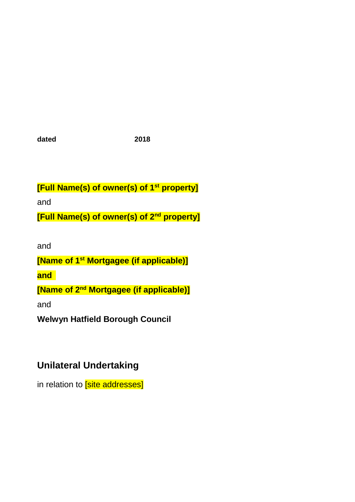**dated 2018**

**[Full Name(s) of owner(s) of 1st property]**

and

**[Full Name(s) of owner(s) of 2nd property]**

and

**[Name of 1st Mortgagee (if applicable)]**

**and** 

**[Name of 2<sup>nd</sup> Mortgagee (if applicable)]** 

and

**Welwyn Hatfield Borough Council**

# **Unilateral Undertaking**

in relation to **[site addresses]**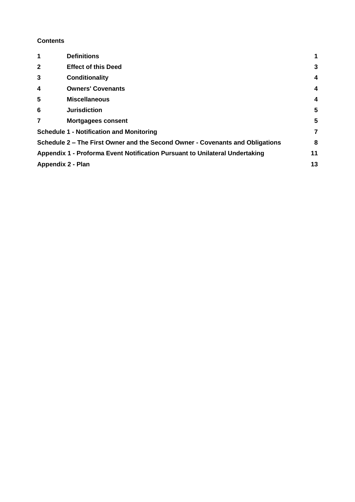#### **Contents**

| 1                        | <b>Definitions</b>                                                            | 1                       |
|--------------------------|-------------------------------------------------------------------------------|-------------------------|
| $\mathbf{2}$             | <b>Effect of this Deed</b>                                                    | 3                       |
| 3                        | <b>Conditionality</b>                                                         | $\overline{\mathbf{4}}$ |
| $\overline{\mathbf{4}}$  | <b>Owners' Covenants</b>                                                      | $\overline{4}$          |
| 5                        | <b>Miscellaneous</b>                                                          | $\overline{\mathbf{4}}$ |
| 6                        | <b>Jurisdiction</b>                                                           | 5                       |
| 7                        | <b>Mortgagees consent</b>                                                     | 5                       |
|                          | <b>Schedule 1 - Notification and Monitoring</b>                               | 7                       |
|                          | Schedule 2 – The First Owner and the Second Owner - Covenants and Obligations | 8                       |
|                          | Appendix 1 - Proforma Event Notification Pursuant to Unilateral Undertaking   | 11                      |
| <b>Appendix 2 - Plan</b> |                                                                               | 13                      |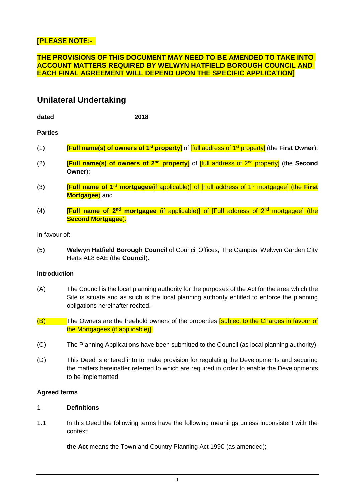## **[PLEASE NOTE:-**

## **THE PROVISIONS OF THIS DOCUMENT MAY NEED TO BE AMENDED TO TAKE INTO ACCOUNT MATTERS REQUIRED BY WELWYN HATFIELD BOROUGH COUNCIL AND EACH FINAL AGREEMENT WILL DEPEND UPON THE SPECIFIC APPLICATION]**

# **Unilateral Undertaking**

**dated 2018**

#### **Parties**

- (1) **[Full name(s) of owners of 1st property]** of [full address of 1st property] (the **First Owner**);
- (2) **[Full name(s) of owners of 2nd property]** of [full address of 2nd property] (the **Second Owner**);
- (3) **[Full name of 1st mortgagee**(if applicable)**]** of [Full address of 1st mortgagee] (the **First Mortgagee**) and
- (4) **[Full name of 2nd mortgagee** (if applicable)**]** of [Full address of 2nd mortgagee] (the **Second Mortgagee**).

In favour of:

(5) **Welwyn Hatfield Borough Council** of Council Offices, The Campus, Welwyn Garden City Herts AL8 6AE (the **Council**).

#### **Introduction**

- (A) The Council is the local planning authority for the purposes of the Act for the area which the Site is situate and as such is the local planning authority entitled to enforce the planning obligations hereinafter recited.
- (B) The Owners are the freehold owners of the properties **[subject to the Charges in favour of** the Mortgagees (if applicable)].
- (C) The Planning Applications have been submitted to the Council (as local planning authority).
- (D) This Deed is entered into to make provision for regulating the Developments and securing the matters hereinafter referred to which are required in order to enable the Developments to be implemented.

#### **Agreed terms**

## <span id="page-2-0"></span>1 **Definitions**

1.1 In this Deed the following terms have the following meanings unless inconsistent with the context:

**the Act** means the Town and Country Planning Act 1990 (as amended);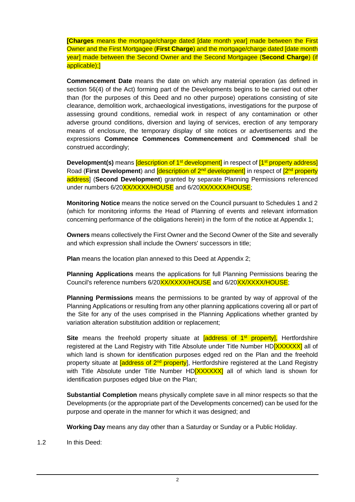**[Charges** means the mortgage/charge dated [date month year] made between the First Owner and the First Mortgagee (**First Charge**) and the mortgage/charge dated [date month year] made between the Second Owner and the Second Mortgagee (**Second Charge**) (if applicable);]

**Commencement Date** means the date on which any material operation (as defined in section 56(4) of the Act) forming part of the Developments begins to be carried out other than (for the purposes of this Deed and no other purpose) operations consisting of site clearance, demolition work, archaeological investigations, investigations for the purpose of assessing ground conditions, remedial work in respect of any contamination or other adverse ground conditions, diversion and laying of services, erection of any temporary means of enclosure, the temporary display of site notices or advertisements and the expressions **Commence Commences Commencement** and **Commenced** shall be construed accordingly;

**Development(s)** means *description of 1<sup>st</sup> development]* in respect of *[1<sup>st</sup> property address]* Road (**First Development**) and **[description of 2<sup>nd</sup> development]** in respect of <sup>[2nd</sup> property address] (**Second Development**) granted by separate Planning Permissions referenced under numbers 6/20XX/XXX/HOUSE and 6/20XX/XXXX/HOUSE;

**Monitoring Notice** means the notice served on the Council pursuant to Schedules 1 and 2 (which for monitoring informs the Head of Planning of events and relevant information concerning performance of the obligations herein) in the form of the notice at Appendix 1;

**Owners** means collectively the First Owner and the Second Owner of the Site and severally and which expression shall include the Owners' successors in title;

**Plan** means the location plan annexed to this Deed at Appendix 2:

**Planning Applications** means the applications for full Planning Permissions bearing the Council's reference numbers 6/20XX/XXX/HOUSE and 6/20XX/XXXX/HOUSE;

**Planning Permissions** means the permissions to be granted by way of approval of the Planning Applications or resulting from any other planning applications covering all or part of the Site for any of the uses comprised in the Planning Applications whether granted by variation alteration substitution addition or replacement;

**Site** means the freehold property situate at **[address of 1<sup>st</sup> property]**, Hertfordshire registered at the Land Registry with Title Absolute under Title Number HD<sup>[XXXXXX</sup>] all of which land is shown for identification purposes edged red on the Plan and the freehold property situate at **[address of 2<sup>nd</sup> property**], Hertfordshire registered at the Land Registry with Title Absolute under Title Number HD**[XXXXXXI** all of which land is shown for identification purposes edged blue on the Plan;

**Substantial Completion** means physically complete save in all minor respects so that the Developments (or the appropriate part of the Developments concerned) can be used for the purpose and operate in the manner for which it was designed; and

**Working Day** means any day other than a Saturday or Sunday or a Public Holiday.

1.2 In this Deed: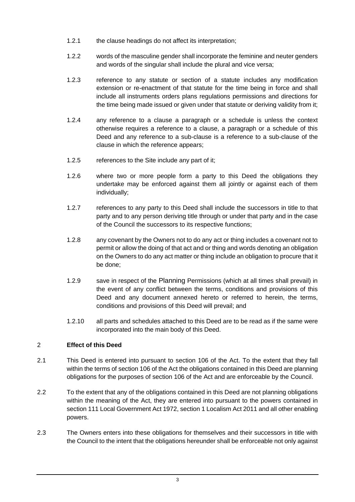- 1.2.1 the clause headings do not affect its interpretation;
- 1.2.2 words of the masculine gender shall incorporate the feminine and neuter genders and words of the singular shall include the plural and vice versa;
- 1.2.3 reference to any statute or section of a statute includes any modification extension or re-enactment of that statute for the time being in force and shall include all instruments orders plans regulations permissions and directions for the time being made issued or given under that statute or deriving validity from it;
- 1.2.4 any reference to a clause a paragraph or a schedule is unless the context otherwise requires a reference to a clause, a paragraph or a schedule of this Deed and any reference to a sub-clause is a reference to a sub-clause of the clause in which the reference appears;
- 1.2.5 references to the Site include any part of it;
- 1.2.6 where two or more people form a party to this Deed the obligations they undertake may be enforced against them all jointly or against each of them individually;
- 1.2.7 references to any party to this Deed shall include the successors in title to that party and to any person deriving title through or under that party and in the case of the Council the successors to its respective functions;
- 1.2.8 any covenant by the Owners not to do any act or thing includes a covenant not to permit or allow the doing of that act and or thing and words denoting an obligation on the Owners to do any act matter or thing include an obligation to procure that it be done;
- 1.2.9 save in respect of the Planning Permissions (which at all times shall prevail) in the event of any conflict between the terms, conditions and provisions of this Deed and any document annexed hereto or referred to herein, the terms, conditions and provisions of this Deed will prevail; and
- 1.2.10 all parts and schedules attached to this Deed are to be read as if the same were incorporated into the main body of this Deed.

# <span id="page-4-0"></span>2 **Effect of this Deed**

- 2.1 This Deed is entered into pursuant to section 106 of the Act. To the extent that they fall within the terms of section 106 of the Act the obligations contained in this Deed are planning obligations for the purposes of section 106 of the Act and are enforceable by the Council.
- 2.2 To the extent that any of the obligations contained in this Deed are not planning obligations within the meaning of the Act, they are entered into pursuant to the powers contained in section 111 Local Government Act 1972, section 1 Localism Act 2011 and all other enabling powers.
- 2.3 The Owners enters into these obligations for themselves and their successors in title with the Council to the intent that the obligations hereunder shall be enforceable not only against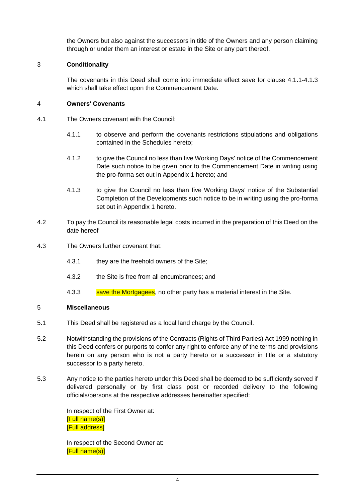the Owners but also against the successors in title of the Owners and any person claiming through or under them an interest or estate in the Site or any part thereof.

# <span id="page-5-0"></span>3 **Conditionality**

The covenants in this Deed shall come into immediate effect save for clause 4.1.1-4.1.3 which shall take effect upon the Commencement Date.

## <span id="page-5-1"></span>4 **Owners' Covenants**

- 4.1 The Owners covenant with the Council:
	- 4.1.1 to observe and perform the covenants restrictions stipulations and obligations contained in the Schedules hereto;
	- 4.1.2 to give the Council no less than five Working Days' notice of the Commencement Date such notice to be given prior to the Commencement Date in writing using the pro-forma set out in Appendix 1 hereto; and
	- 4.1.3 to give the Council no less than five Working Days' notice of the Substantial Completion of the Developments such notice to be in writing using the pro-forma set out in Appendix 1 hereto.
- 4.2 To pay the Council its reasonable legal costs incurred in the preparation of this Deed on the date hereof
- 4.3 The Owners further covenant that:
	- 4.3.1 they are the freehold owners of the Site;
	- 4.3.2 the Site is free from all encumbrances; and
	- 4.3.3 save the Mortgagees, no other party has a material interest in the Site.

#### <span id="page-5-2"></span>5 **Miscellaneous**

- 5.1 This Deed shall be registered as a local land charge by the Council.
- 5.2 Notwithstanding the provisions of the Contracts (Rights of Third Parties) Act 1999 nothing in this Deed confers or purports to confer any right to enforce any of the terms and provisions herein on any person who is not a party hereto or a successor in title or a statutory successor to a party hereto.
- 5.3 Any notice to the parties hereto under this Deed shall be deemed to be sufficiently served if delivered personally or by first class post or recorded delivery to the following officials/persons at the respective addresses hereinafter specified:

In respect of the First Owner at: [Full name(s)] [Full address]

In respect of the Second Owner at: [Full name(s)]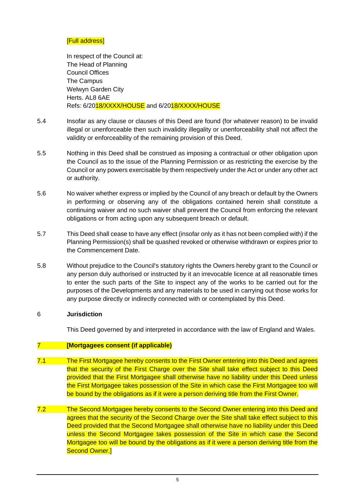#### [Full address]

In respect of the Council at: The Head of Planning Council Offices The Campus Welwyn Garden City Herts. AL8 6AE Refs: 6/2018/XXXX/HOUSE and 6/2018/XXXX/HOUSE

- 5.4 Insofar as any clause or clauses of this Deed are found (for whatever reason) to be invalid illegal or unenforceable then such invalidity illegality or unenforceability shall not affect the validity or enforceability of the remaining provision of this Deed.
- 5.5 Nothing in this Deed shall be construed as imposing a contractual or other obligation upon the Council as to the issue of the Planning Permission or as restricting the exercise by the Council or any powers exercisable by them respectively under the Act or under any other act or authority.
- 5.6 No waiver whether express or implied by the Council of any breach or default by the Owners in performing or observing any of the obligations contained herein shall constitute a continuing waiver and no such waiver shall prevent the Council from enforcing the relevant obligations or from acting upon any subsequent breach or default.
- 5.7 This Deed shall cease to have any effect (insofar only as it has not been complied with) if the Planning Permission(s) shall be quashed revoked or otherwise withdrawn or expires prior to the Commencement Date.
- 5.8 Without prejudice to the Council's statutory rights the Owners hereby grant to the Council or any person duly authorised or instructed by it an irrevocable licence at all reasonable times to enter the such parts of the Site to inspect any of the works to be carried out for the purposes of the Developments and any materials to be used in carrying out those works for any purpose directly or indirectly connected with or contemplated by this Deed.

#### <span id="page-6-0"></span>6 **Jurisdiction**

This Deed governed by and interpreted in accordance with the law of England and Wales.

#### <span id="page-6-1"></span>7 **[Mortgagees consent (if applicable)**

- 7.1 The First Mortgagee hereby consents to the First Owner entering into this Deed and agrees that the security of the First Charge over the Site shall take effect subject to this Deed provided that the First Mortgagee shall otherwise have no liability under this Deed unless the First Mortgagee takes possession of the Site in which case the First Mortgagee too will be bound by the obligations as if it were a person deriving title from the First Owner.
- 7.2 The Second Mortgagee hereby consents to the Second Owner entering into this Deed and agrees that the security of the Second Charge over the Site shall take effect subject to this Deed provided that the Second Mortgagee shall otherwise have no liability under this Deed unless the Second Mortgagee takes possession of the Site in which case the Second Mortgagee too will be bound by the obligations as if it were a person deriving title from the Second Owner.]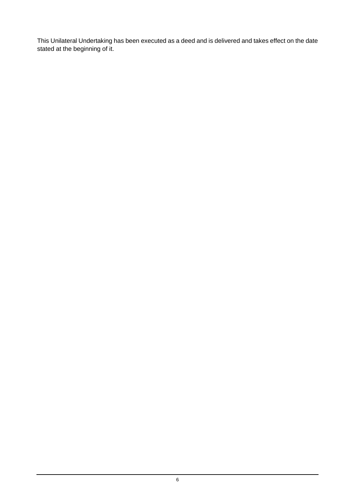This Unilateral Undertaking has been executed as a deed and is delivered and takes effect on the date stated at the beginning of it.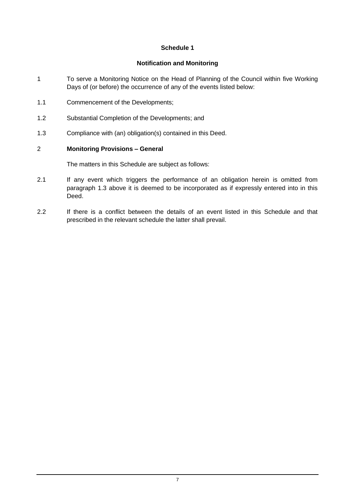# **Schedule 1**

#### **Notification and Monitoring**

- <span id="page-8-0"></span>1 To serve a Monitoring Notice on the Head of Planning of the Council within five Working Days of (or before) the occurrence of any of the events listed below:
- 1.1 Commencement of the Developments;
- 1.2 Substantial Completion of the Developments; and
- <span id="page-8-1"></span>1.3 Compliance with (an) obligation(s) contained in this Deed.

## 2 **Monitoring Provisions – General**

The matters in this Schedule are subject as follows:

- 2.1 If any event which triggers the performance of an obligation herein is omitted from paragraph [1.3](#page-8-1) above it is deemed to be incorporated as if expressly entered into in this Deed.
- 2.2 If there is a conflict between the details of an event listed in this Schedule and that prescribed in the relevant schedule the latter shall prevail.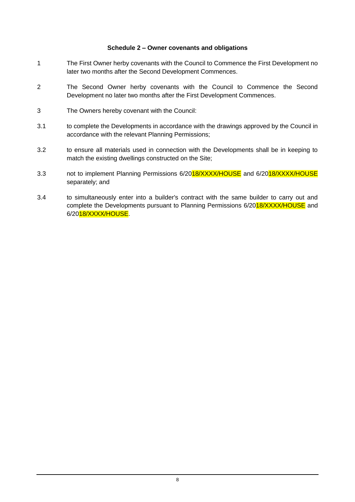#### **Schedule 2 – Owner covenants and obligations**

- <span id="page-9-0"></span>1 The First Owner herby covenants with the Council to Commence the First Development no later two months after the Second Development Commences.
- 2 The Second Owner herby covenants with the Council to Commence the Second Development no later two months after the First Development Commences.
- 3 The Owners hereby covenant with the Council:
- 3.1 to complete the Developments in accordance with the drawings approved by the Council in accordance with the relevant Planning Permissions;
- 3.2 to ensure all materials used in connection with the Developments shall be in keeping to match the existing dwellings constructed on the Site;
- 3.3 not to implement Planning Permissions 6/2018/XXXX/HOUSE and 6/2018/XXXX/HOUSE separately; and
- 3.4 to simultaneously enter into a builder's contract with the same builder to carry out and complete the Developments pursuant to Planning Permissions 6/2018/XXXX/HOUSE and 6/2018/XXXX/HOUSE.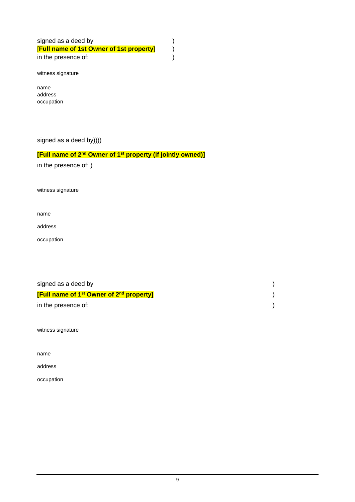signed as a deed by  $($ [**Full name of 1st Owner of 1st property**] ) in the presence of:  $\qquad \qquad$ )

witness signature

name address occupation

signed as a deed by))))

#### **[Full name of 2<sup>nd</sup> Owner of 1<sup>st</sup> property (if jointly owned)]**

in the presence of: )

witness signature

name

address

occupation

| signed as a deed by                                                   |  |
|-----------------------------------------------------------------------|--|
| <b>[Full name of 1<sup>st</sup> Owner of 2<sup>nd</sup> property]</b> |  |
| in the presence of:                                                   |  |

witness signature

name

address

occupation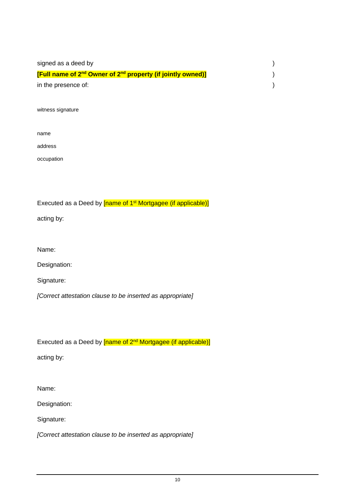| signed as a deed by                                                                 |  |
|-------------------------------------------------------------------------------------|--|
| [Full name of 2 <sup>nd</sup> Owner of 2 <sup>nd</sup> property (if jointly owned)] |  |
| in the presence of:                                                                 |  |

witness signature

address

occupation

Executed as a Deed by [name of 1<sup>st</sup> Mortgagee (if applicable)]

acting by:

Name:

Designation:

Signature:

*[Correct attestation clause to be inserted as appropriate]*

Executed as a Deed by [name of 2<sup>nd</sup> Mortgagee (if applicable)]

acting by:

Name:

Designation:

Signature:

*[Correct attestation clause to be inserted as appropriate]*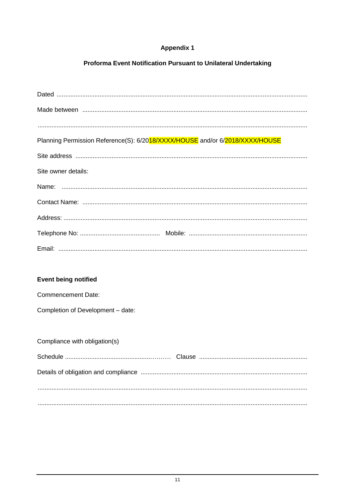# **Appendix 1**

# Proforma Event Notification Pursuant to Unilateral Undertaking

<span id="page-12-0"></span>

| Planning Permission Reference(S): 6/2018/XXXX/HOUSE and/or 6/2018/XXXX/HOUSE |
|------------------------------------------------------------------------------|
|                                                                              |
|                                                                              |
| Site owner details:                                                          |
|                                                                              |
|                                                                              |
|                                                                              |
|                                                                              |
|                                                                              |
|                                                                              |

# Event being notified

**Commencement Date:** 

Completion of Development - date:

| Compliance with obligation(s) |  |  |  |  |  |  |
|-------------------------------|--|--|--|--|--|--|
|                               |  |  |  |  |  |  |
|                               |  |  |  |  |  |  |
|                               |  |  |  |  |  |  |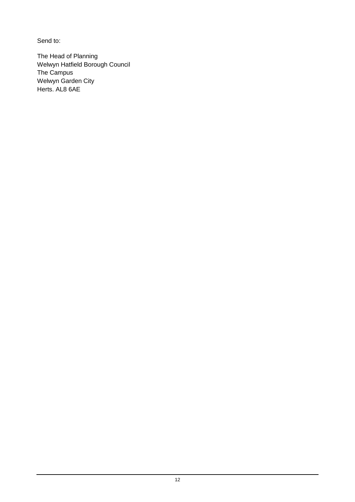Send to:

The Head of Planning Welwyn Hatfield Borough Council The Campus Welwyn Garden City Herts. AL8 6AE